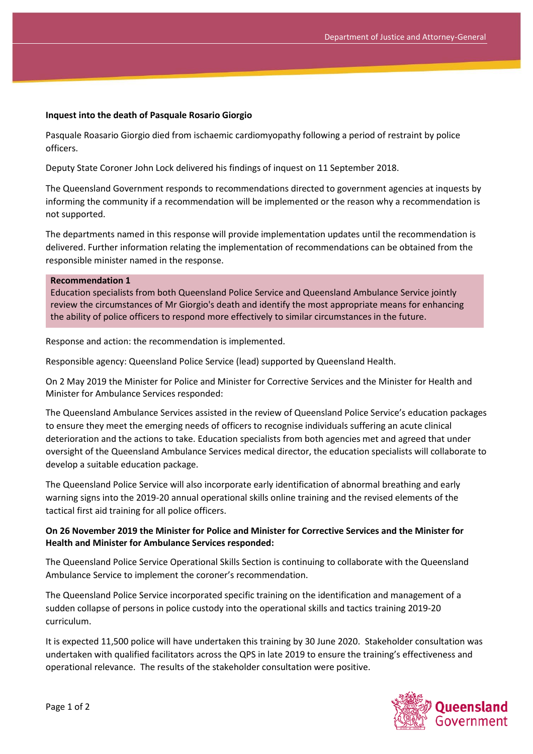## **Inquest into the death of Pasquale Rosario Giorgio**

Pasquale Roasario Giorgio died from ischaemic cardiomyopathy following a period of restraint by police officers.

Deputy State Coroner John Lock delivered his findings of inquest on 11 September 2018.

The Queensland Government responds to recommendations directed to government agencies at inquests by informing the community if a recommendation will be implemented or the reason why a recommendation is not supported.

The departments named in this response will provide implementation updates until the recommendation is delivered. Further information relating the implementation of recommendations can be obtained from the responsible minister named in the response.

#### **Recommendation 1**

Education specialists from both Queensland Police Service and Queensland Ambulance Service jointly review the circumstances of Mr Giorgio's death and identify the most appropriate means for enhancing the ability of police officers to respond more effectively to similar circumstances in the future.

Response and action: the recommendation is implemented.

Responsible agency: Queensland Police Service (lead) supported by Queensland Health.

On 2 May 2019 the Minister for Police and Minister for Corrective Services and the Minister for Health and Minister for Ambulance Services responded:

The Queensland Ambulance Services assisted in the review of Queensland Police Service's education packages to ensure they meet the emerging needs of officers to recognise individuals suffering an acute clinical deterioration and the actions to take. Education specialists from both agencies met and agreed that under oversight of the Queensland Ambulance Services medical director, the education specialists will collaborate to develop a suitable education package.

The Queensland Police Service will also incorporate early identification of abnormal breathing and early warning signs into the 2019-20 annual operational skills online training and the revised elements of the tactical first aid training for all police officers.

## **On 26 November 2019 the Minister for Police and Minister for Corrective Services and the Minister for Health and Minister for Ambulance Services responded:**

The Queensland Police Service Operational Skills Section is continuing to collaborate with the Queensland Ambulance Service to implement the coroner's recommendation.

The Queensland Police Service incorporated specific training on the identification and management of a sudden collapse of persons in police custody into the operational skills and tactics training 2019-20 curriculum.

It is expected 11,500 police will have undertaken this training by 30 June 2020. Stakeholder consultation was undertaken with qualified facilitators across the QPS in late 2019 to ensure the training's effectiveness and operational relevance. The results of the stakeholder consultation were positive.